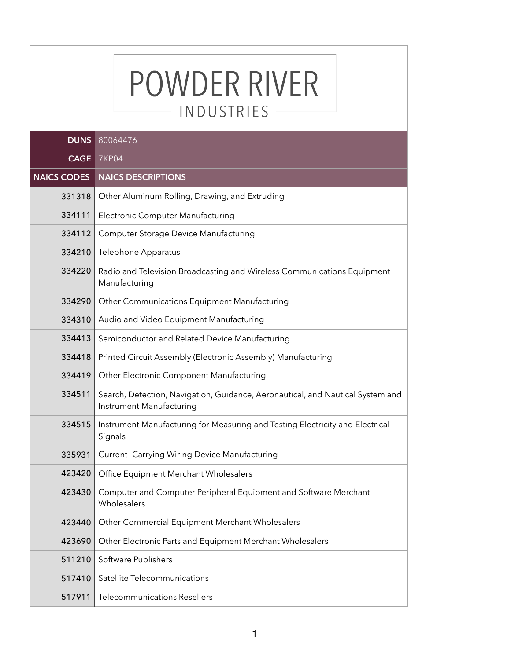## POWDER RIVER INDUSTRIES - $\overline{\phantom{0}}$

| <b>DUNS</b>        | 80064476                                                                                                   |
|--------------------|------------------------------------------------------------------------------------------------------------|
| <b>CAGE</b>        | <b>7KP04</b>                                                                                               |
| <b>NAICS CODES</b> | <b>NAICS DESCRIPTIONS</b>                                                                                  |
| 331318             | Other Aluminum Rolling, Drawing, and Extruding                                                             |
| 334111             | Electronic Computer Manufacturing                                                                          |
| 334112             | Computer Storage Device Manufacturing                                                                      |
| 334210             | Telephone Apparatus                                                                                        |
| 334220             | Radio and Television Broadcasting and Wireless Communications Equipment<br>Manufacturing                   |
| 334290             | Other Communications Equipment Manufacturing                                                               |
| 334310             | Audio and Video Equipment Manufacturing                                                                    |
| 334413             | Semiconductor and Related Device Manufacturing                                                             |
| 334418             | Printed Circuit Assembly (Electronic Assembly) Manufacturing                                               |
| 334419             | Other Electronic Component Manufacturing                                                                   |
| 334511             | Search, Detection, Navigation, Guidance, Aeronautical, and Nautical System and<br>Instrument Manufacturing |
| 334515             | Instrument Manufacturing for Measuring and Testing Electricity and Electrical<br>Signals                   |
| 335931             | Current- Carrying Wiring Device Manufacturing                                                              |
| 423420             | Office Equipment Merchant Wholesalers                                                                      |
| 423430             | Computer and Computer Peripheral Equipment and Software Merchant<br>Wholesalers                            |
| 423440             | Other Commercial Equipment Merchant Wholesalers                                                            |
| 423690             | Other Electronic Parts and Equipment Merchant Wholesalers                                                  |
| 511210             | Software Publishers                                                                                        |
| 517410             | Satellite Telecommunications                                                                               |
| 517911             | <b>Telecommunications Resellers</b>                                                                        |